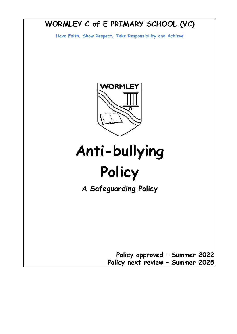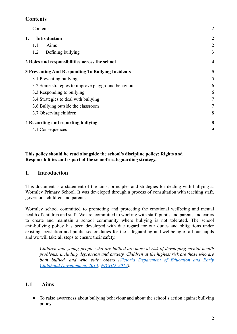## <span id="page-1-0"></span>**Contents**

| Contents                                            | $\overline{2}$          |
|-----------------------------------------------------|-------------------------|
| 1.<br><b>Introduction</b>                           | $\overline{2}$          |
| Aims<br>1.1                                         | $\overline{2}$          |
| Defining bullying<br>1.2                            | 3                       |
| 2 Roles and responsibilities across the school      | $\overline{\mathbf{4}}$ |
| 3 Preventing And Responding To Bullying Incidents   | 5                       |
| 3.1 Preventing bullying                             | 5                       |
| 3.2 Some strategies to improve playground behaviour | 6                       |
| 3.3 Responding to bullying                          | 6                       |
| 3.4 Strategies to deal with bullying                | 7                       |
| 3.6 Bullying outside the classroom                  | 7                       |
| 3.7 Observing children                              | 8                       |
| <b>4 Recording and reporting bullying</b>           | 8                       |
| 4.1 Consequences                                    | 9                       |

#### **This policy should be read alongside the school's discipline policy: Rights and Responsibilities and is part of the school's safeguarding strategy.**

### <span id="page-1-1"></span>**1. Introduction**

This document is a statement of the aims, principles and strategies for dealing with bullying at Wormley Primary School. It was developed through a process of consultation with teaching staff, governors, children and parents.

Wormley school committed to promoting and protecting the emotional wellbeing and mental health of children and staff. We are committed to working with staff, pupils and parents and carers to create and maintain a school community where bullying is not tolerated. The school anti-bullying policy has been developed with due regard for our duties and obligations under existing legislation and public sector duties for the safeguarding and wellbeing of all our pupils and we will take all steps to ensure their safety.

*Children and young people who are bullied are more at risk of developing mental health problems, including depression and anxiety. Children at the highest risk are those who are both bullied, and who bully others (Victoria [Department](https://www.nspcc.org.uk/preventing-abuse/child-abuse-and-neglect/bullying-and-cyberbullying/signs-symptoms-effects/#pageref10406) of Education and Early [Childhood Development, 2013;](https://www.nspcc.org.uk/preventing-abuse/child-abuse-and-neglect/bullying-and-cyberbullying/signs-symptoms-effects/#pageref10406) [NICHD, 2012](https://www.nspcc.org.uk/preventing-abuse/child-abuse-and-neglect/bullying-and-cyberbullying/signs-symptoms-effects/#pageref10407)).*

### <span id="page-1-2"></span>**1.1 Aims**

**●** To raise awareness about bullying behaviour and about the school's action against bullying policy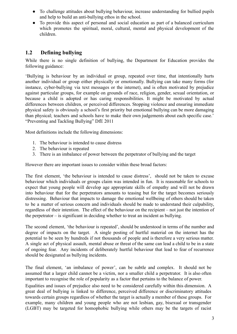- **●** To challenge attitudes about bullying behaviour, increase understanding for bullied pupils and help to build an anti-bullying ethos in the school.
- **●** To provide this aspect of personal and social education as part of a balanced curriculum which promotes the spiritual, moral, cultural, mental and physical development of the children.

### <span id="page-2-0"></span>**1.2 Defining bullying**

While there is no single definition of bullying, the Department for Education provides the following guidance:

'Bullying is behaviour by an individual or group, repeated over time, that intentionally hurts another individual or group either physically or emotionally. Bullying can take many forms (for instance, cyber-bullying via text messages or the internet), and is often motivated by prejudice against particular groups, for example on grounds of race, religion, gender, sexual orientation, or because a child is adopted or has caring responsibilities. It might be motivated by actual differences between children, or perceived differences. Stopping violence and ensuring immediate physical safety is obviously a school's first priority but emotional bullying can be more damaging than physical; teachers and schools have to make their own judgements about each specific case.' "Preventing and Tackling Bullying" DfE 2011

Most definitions include the following dimensions:

- 1. The behaviour is intended to cause distress
- 2. The behaviour is repeated
- 3. There is an imbalance of power between the perpetrator of bullying and the target

However there are important issues to consider within these broad factors:

The first element, 'the behaviour is intended to cause distress', should not be taken to excuse behaviour which individuals or groups claim was intended in fun. It is reasonable for schools to expect that young people will develop age appropriate skills of empathy and will not be drawn into behaviour that for the perpetrators amounts to teasing but for the target becomes seriously distressing. Behaviour that impacts to damage the emotional wellbeing of others should be taken to be a matter of serious concern and individuals should be made to understand their culpability, regardless of their intention. The effect of the behaviour on the recipient – not just the intention of the perpetrator – is significant in deciding whether to treat an incident as bullying.

The second element, 'the behaviour is repeated', should be understood in terms of the number and degree of impacts on the target. A single posting of hurtful material on the internet has the potential to be seen by hundreds if not thousands of people and is therefore a very serious matter. A single act of physical assault, mental abuse or threat of the same can lead a child to be in a state of ongoing fear. Any incidents of deliberately hurtful behaviour that lead to fear of recurrence should be designated as bullying incidents.

The final element, 'an imbalance of power', can be subtle and complex. It should not be assumed that a larger child cannot be a victim, nor a smaller child a perpetrator. It is also often important to recognise the role of popularity as a factor that pertains to the balance of power.

Equalities and issues of prejudice also need to be considered carefully within this dimension. A great deal of bullying is linked to difference, perceived difference or discriminatory attitudes towards certain groups regardless of whether the target is actually a member of these groups. For example, many children and young people who are not lesbian, gay, bisexual or transgender (LGBT) may be targeted for homophobic bullying while others may be the targets of racist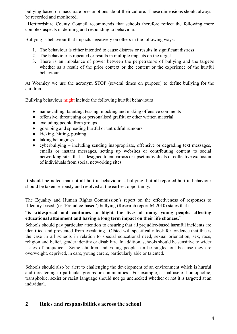bullying based on inaccurate presumptions about their culture. These dimensions should always be recorded and monitored.

Hertfordshire County Council recommends that schools therefore reflect the following more complex aspects in defining and responding to behaviour.

Bullying is behaviour that impacts negatively on others in the following ways:

- 1. The behaviour is either intended to cause distress or results in significant distress
- 2. The behaviour is repeated or results in multiple impacts on the target
- 3. There is an imbalance of power between the perpetrator/s of bullying and the target/s whether as a result of the prior context or the content or the experience of the hurtful behaviour

At Wormley we use the acronym STOP (several times on purpose) to define bullying for the children.

Bullying behaviour might include the following hurtful behaviours

- name-calling, taunting, teasing, mocking and making offensive comments
- offensive, threatening or personalised graffiti or other written material
- excluding people from groups
- gossiping and spreading hurtful or untruthful rumours
- $\bullet$  kicking, hitting, pushing
- taking belongings
- cyberbullying including sending inappropriate, offensive or degrading text messages, emails or instant messages, setting up websites or contributing content to social networking sites that is designed to embarrass or upset individuals or collective exclusion of individuals from social networking sites.

It should be noted that not all hurtful behaviour is bullying, but all reported hurtful behaviour should be taken seriously and resolved at the earliest opportunity.

The Equality and Human Rights Commission's report on the effectiveness of responses to 'Identity-based' (or 'Prejudice-based') bullying (Research report 64 2010) states that it

#### **"is widespread and continues to blight the lives of many young people, affecting educational attainment and having a long term impact on their life chances."**

Schools should pay particular attention to ensuring that all prejudice-based harmful incidents are identified and prevented from escalating. Ofsted will specifically look for evidence that this is the case in all schools in relation to special educational need, sexual orientation, sex, race, religion and belief, gender identity or disability. In addition, schools should be sensitive to wider issues of prejudice. Some children and young people can be singled out because they are overweight, deprived, in care, young carers, particularly able or talented.

Schools should also be alert to challenging the development of an environment which is hurtful and threatening to particular groups or communities. For example, casual use of homophobic, transphobic, sexist or racist language should not go unchecked whether or not it is targeted at an individual.

### <span id="page-3-0"></span>**2 Roles and responsibilities across the school**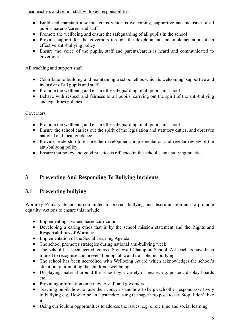Headteachers and senior staff with key responsibilities

- **●** Build and maintain a school ethos which is welcoming, supportive and inclusive of all pupils, parents/carers and staff
- **●** Promote the wellbeing and ensure the safeguarding of all pupils in the school
- **●** Provide support for the governors through the development and implementation of an effective anti-bullying policy
- **●** Ensure the voice of the pupils, staff and parents/carers is heard and communicated to governors

### All teaching and support staff

- **●** Contribute to building and maintaining a school ethos which is welcoming, supportive and inclusive of all pupils and staff
- **●** Promote the wellbeing and ensure the safeguarding of all pupils in school
- **●** Behave with respect and fairness to all pupils, carrying out the spirit of the anti-bullying and equalities policies

### Governors

- **●** Promote the wellbeing and ensure the safeguarding of all pupils in school
- **●** Ensure the school carries out the spirit of the legislation and statutory duties, and observes national and local guidance
- **●** Provide leadership to ensure the development, implementation and regular review of the anti-bullying policy
- **●** Ensure that policy and good practice is reflected in the school's anti-bullying practice

# <span id="page-4-0"></span>**3 Preventing And Responding To Bullying Incidents**

## <span id="page-4-1"></span>**3.1 Preventing bullying**

Wormley Primary School is committed to prevent bullying and discrimination and to promote equality. Actions to ensure this include:

- **●** Implementing a values-based curriculum
- **●** Developing a caring ethos that is by the school mission statement and the Rights and Responsibilities of Wormley
- **●** Implementation of the Social Learning Agenda
- **●** The school promotes strategies during national anti-bullying week
- **●** The school has been accredited as a Stonewall Champion School. All teachers have been trained to recognise and prevent homophobic and transphobic bullying
- The school has been accredited with Wellbeing Award which acknowledges the school's attention to promoting the children's wellbeing.
- **●** Displaying material around the school by a variety of means, e.g. posters, display boards etc,
- **●** Providing information on policy to staff and governors
- **●** Teaching pupils how to raise their concerns and how to help each other respond assertively to bullying e.g. How to be an Upstander; using the superhero pose to say Stop! I don't like it.
- **●** Using curriculum opportunities to address the issues, e.g. circle time and social learning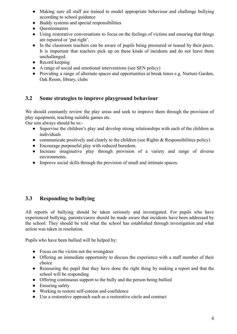- **●** Making sure all staff are trained to model appropriate behaviour and challenge bullying according to school guidance
- **●** Buddy systems and special responsibilities
- **●** Questionnaires
- Using restorative conversations to focus on the feelings of victims and ensuring that things are repaired or 'put right'.
- **●** In the classroom teachers can be aware of pupils being pressured or teased by their peers. It is important that teachers pick up on these kinds of incidents and do not leave them unchallenged.
- **●** Record keeping
- A range of social and emotional interventions (see SEN policy)
- Providing a range of alternate spaces and opportunities at break times e.g. Nurture Garden, Oak Room, library, clubs

### <span id="page-5-0"></span>**3.2 Some strategies to improve playground behaviour**

We should constantly review the play areas and seek to improve them through the provision of play equipment, teaching suitable games etc.

Our aim always should be to:-

- Supervise the children's play and develop strong relationships with each of the children as individuals
- communicate positively and clearly to the children (see Rights  $\&$  Responsibilities policy)
- **●** Encourage purposeful play with reduced boredom.
- **●** Increase imaginative play through provision of a variety and range of diverse environments.
- **●** Improve social skills through the provision of small and intimate spaces.

### <span id="page-5-1"></span>**3.3 Responding to bullying**

All reports of bullying should be taken seriously and investigated. For pupils who have experienced bullying, parents/carers should be made aware that incidents have been addressed by the school. They should be told what the school has established through investigation and what action was taken in resolution.

Pupils who have been bullied will be helped by:

- **●** Focus on the victim not the wrongdoer
- **●** Offering an immediate opportunity to discuss the experience with a staff member of their choice
- **●** Reassuring the pupil that they have done the right thing by making a report and that the school will be responding
- **●** Offering continuous support to the bully and the person being bullied
- **●** Ensuring safety
- **●** Working to restore self-esteem and confidence
- **●** Use a restorative approach such as a restorative circle and contract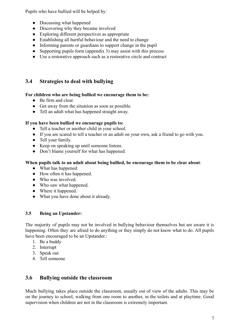Pupils who have bullied will be helped by:

- **●** Discussing what happened
- **●** Discovering why they became involved
- **●** Exploring different perspectives as appropriate
- **●** Establishing all hurtful behaviour and the need to change
- **●** Informing parents or guardians to support change in the pupil
- **●** Supporting pupils form (appendix 3) may assist with this process
- **●** Use a restorative approach such as a restorative circle and contract

## <span id="page-6-0"></span>**3.4 Strategies to deal with bullying**

#### **For children who are being bullied we encourage them to be:**

- **●** Be firm and clear.
- **●** Get away from the situation as soon as possible.
- **●** Tell an adult what has happened straight away.

### **If you have been bullied we encourage pupils to:**

- **●** Tell a teacher or another child in your school.
- **●** If you are scared to tell a teacher or an adult on your own, ask a friend to go with you.
- **●** Tell your family.
- **●** Keep on speaking up until someone listens.
- **●** Don't blame yourself for what has happened.

### **When pupils talk to an adult about being bullied, be encourage them to be clear about**:

- **●** What has happened.
- **●** How often it has happened.
- **●** Who was involved.
- **●** Who saw what happened.
- **●** Where it happened.
- **●** What you have done about it already.

### **3.5 Being an Upstander:**

The majority of pupils may not be involved in bullying behaviour themselves but are aware it is happening. Often they are afraid to do anything or they simply do not know what to do. All pupils have been encouraged to be an Upstander.:

- 1. Be a buddy
- 2. Interrupt
- 3. Speak out
- 4. Tell someone

### <span id="page-6-1"></span>**3.6 Bullying outside the classroom**

Much bullying takes place outside the classroom, usually out of view of the adults. This may be on the journey to school, walking from one room to another, in the toilets and at playtime. Good supervision when children are not in the classroom is extremely important.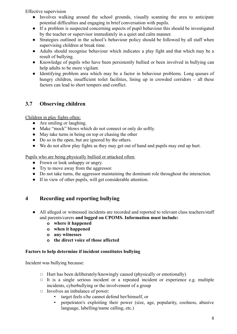Effective supervision

- **●** Involves walking around the school grounds, visually scanning the area to anticipate potential difficulties and engaging in brief conversation with pupils.
- **●** If a problem is suspected concerning aspects of pupil behaviour this should be investigated by the teacher or supervisor immediately in a quiet and calm manner.
- **●** Strategies outlined in the school's behaviour policy should be followed by all staff when supervising children at break time.
- **●** Adults should recognise behaviour which indicates a play fight and that which may be a result of bullying.
- **●** Knowledge of pupils who have been persistently bullied or been involved in bullying can help adults to be more vigilant.
- **●** Identifying problem area which may be a factor in behaviour problems. Long queues of hungry children, insufficient toilet facilities, lining up in crowded corridors – all these factors can lead to short tempers and conflict.

## <span id="page-7-0"></span>**3.7 Observing children**

Children in play fights often:

- **●** Are smiling or laughing.
- **●** Make "mock" blows which do not connect or only do softly.
- **●** May take turns in being on top or chasing the other
- **●** Do so in the open, but are ignored by the others.
- **●** We do not allow play fights as they may get out of hand and pupils may end up hurt.

Pupils who are being physically bullied or attacked often:

- **●** Frown or look unhappy or angry.
- **●** Try to move away from the aggressor.
- **●** Do not take turns, the aggressor maintaining the dominant role throughout the interaction.
- **●** If in view of other pupils, will get considerable attention.

## <span id="page-7-1"></span>**4 Recording and reporting bullying**

- **●** All alleged or witnessed incidents are recorded and reported to relevant class teachers/staff and parents/carers **and logged on CPOMS. Information must include:**
	- **o where it happened**
	- **o when it happened**
	- **o any witnesses**
	- **o the direct voice of those affected**

### **Factors to help determine if incident constitutes bullying**

Incident was bullying because:

- $\Box$  Hurt has been deliberately/knowingly caused (physically or emotionally)
- $\Box$  It is a single serious incident or a repeated incident or experience e.g. multiple incidents, cyberbullying or the involvement of a group
- ◻ Involves an imbalance of power:
	- target feels s/he cannot defend her/himself, or
	- perpetrator/s exploiting their power (size, age, popularity, coolness, abusive language, labelling/name calling, etc.)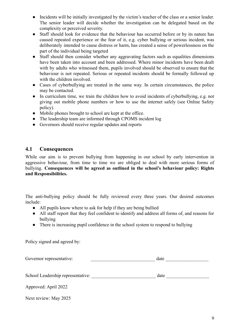- **●** Incidents will be initially investigated by the victim's teacher of the class or a senior leader. The senior leader will decide whether the investigation can be delegated based on the complexity or perceived severity.
- **●** Staff should look for evidence that the behaviour has occurred before or by its nature has caused repeated experience or the fear of it, e.g. cyber bullying or serious incident, was deliberately intended to cause distress or harm, has created a sense of powerlessness on the part of the individual being targeted
- **●** Staff should then consider whether any aggravating factors such as equalities dimensions have been taken into account and been addressed. Where minor incidents have been dealt with by adults who witnessed them, pupils involved should be observed to ensure that the behaviour is not repeated. Serious or repeated incidents should be formally followed up with the children involved.
- **●** Cases of cyberbullying are treated in the same way. In certain circumstances, the police may be contacted.
- **●** In curriculum time, we train the children how to avoid incidents of cyberbullying, e.g. not giving out mobile phone numbers or how to use the internet safely (see Online Safety policy).
- **●** Mobile phones brought to school are kept at the office.
- **●** The leadership team are informed through CPOMS incident log
- **●** Governors should receive regular updates and reports

### <span id="page-8-0"></span>**4.1 Consequences**

While our aim is to prevent bullying from happening in our school by early intervention in aggressive behaviour, from time to time we are obliged to deal with more serious forms of bullying. **Consequences will be agreed as outlined in the school's behaviour policy: Rights and Responsibilities.**

The anti-bullying policy should be fully reviewed every three years. Our desired outcomes include:

- **●** All pupils know where to ask for help if they are being bullied
- **●** All staff report that they feel confident to identify and address all forms of, and reasons for bullying
- **●** There is increasing pupil confidence in the school system to respond to bullying

Policy signed and agreed by:

| Governor representative:          | date |  |
|-----------------------------------|------|--|
| School Leadership representative: | date |  |
| Approved: April 2022              |      |  |

Next review: May 2025